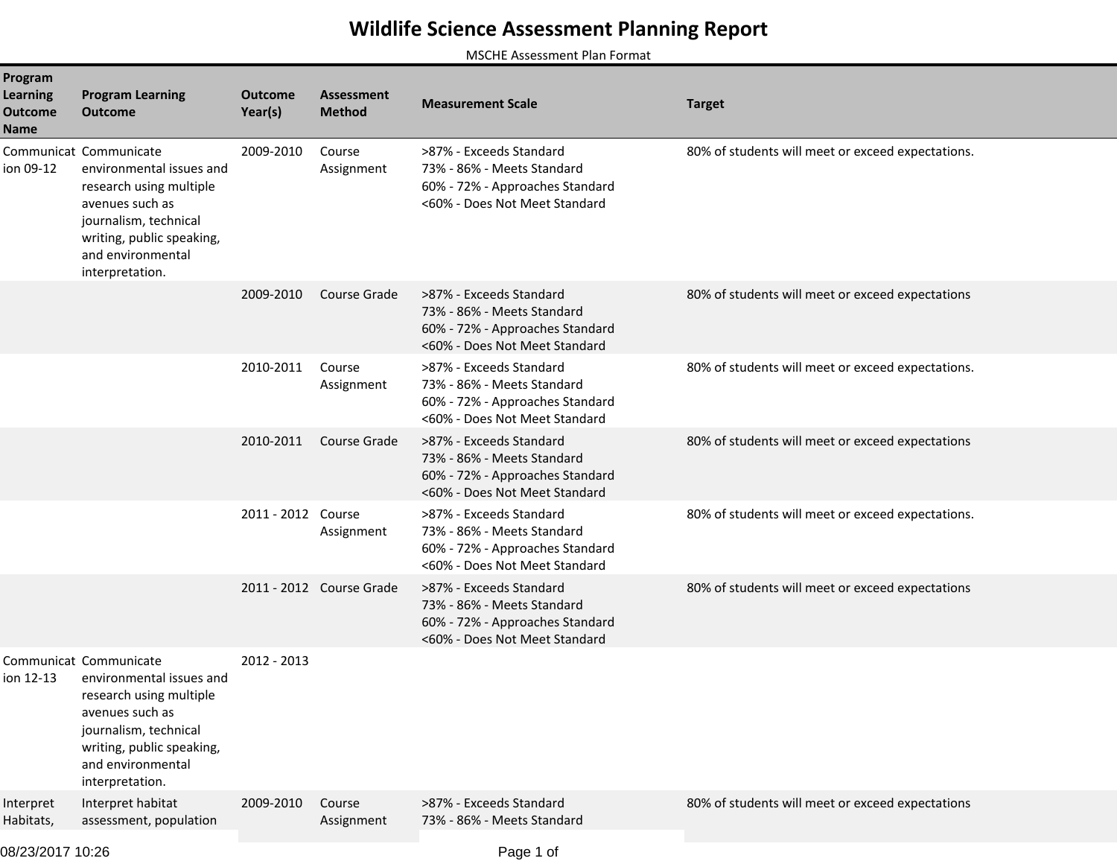## **Wildlife Science Assessment Planning Report**

MSCHE Assessment Plan Format

| Program<br><b>Learning</b><br><b>Outcome</b><br>Name | <b>Program Learning</b><br><b>Outcome</b>                                                                                                                                                      | <b>Outcome</b><br>Year(s) | <b>Assessment</b><br><b>Method</b> | <b>Measurement Scale</b>                                                                                                  | <b>Target</b>                                     |
|------------------------------------------------------|------------------------------------------------------------------------------------------------------------------------------------------------------------------------------------------------|---------------------------|------------------------------------|---------------------------------------------------------------------------------------------------------------------------|---------------------------------------------------|
| ion 09-12                                            | Communicat Communicate<br>environmental issues and<br>research using multiple<br>avenues such as<br>journalism, technical<br>writing, public speaking,<br>and environmental<br>interpretation. | 2009-2010                 | Course<br>Assignment               | >87% - Exceeds Standard<br>73% - 86% - Meets Standard<br>60% - 72% - Approaches Standard<br><60% - Does Not Meet Standard | 80% of students will meet or exceed expectations. |
|                                                      |                                                                                                                                                                                                | 2009-2010                 | Course Grade                       | >87% - Exceeds Standard<br>73% - 86% - Meets Standard<br>60% - 72% - Approaches Standard<br><60% - Does Not Meet Standard | 80% of students will meet or exceed expectations  |
|                                                      |                                                                                                                                                                                                | 2010-2011                 | Course<br>Assignment               | >87% - Exceeds Standard<br>73% - 86% - Meets Standard<br>60% - 72% - Approaches Standard<br><60% - Does Not Meet Standard | 80% of students will meet or exceed expectations. |
|                                                      |                                                                                                                                                                                                | 2010-2011                 | Course Grade                       | >87% - Exceeds Standard<br>73% - 86% - Meets Standard<br>60% - 72% - Approaches Standard<br><60% - Does Not Meet Standard | 80% of students will meet or exceed expectations  |
|                                                      |                                                                                                                                                                                                | 2011 - 2012 Course        | Assignment                         | >87% - Exceeds Standard<br>73% - 86% - Meets Standard<br>60% - 72% - Approaches Standard<br><60% - Does Not Meet Standard | 80% of students will meet or exceed expectations. |
|                                                      |                                                                                                                                                                                                |                           | 2011 - 2012 Course Grade           | >87% - Exceeds Standard<br>73% - 86% - Meets Standard<br>60% - 72% - Approaches Standard<br><60% - Does Not Meet Standard | 80% of students will meet or exceed expectations  |
| ion 12-13                                            | Communicat Communicate<br>environmental issues and<br>research using multiple<br>avenues such as<br>journalism, technical<br>writing, public speaking,<br>and environmental<br>interpretation. | 2012 - 2013               |                                    |                                                                                                                           |                                                   |
| Interpret<br>Habitats,                               | Interpret habitat<br>assessment, population                                                                                                                                                    | 2009-2010                 | Course<br>Assignment               | >87% - Exceeds Standard<br>73% - 86% - Meets Standard                                                                     | 80% of students will meet or exceed expectations  |

08/23/2017 10:26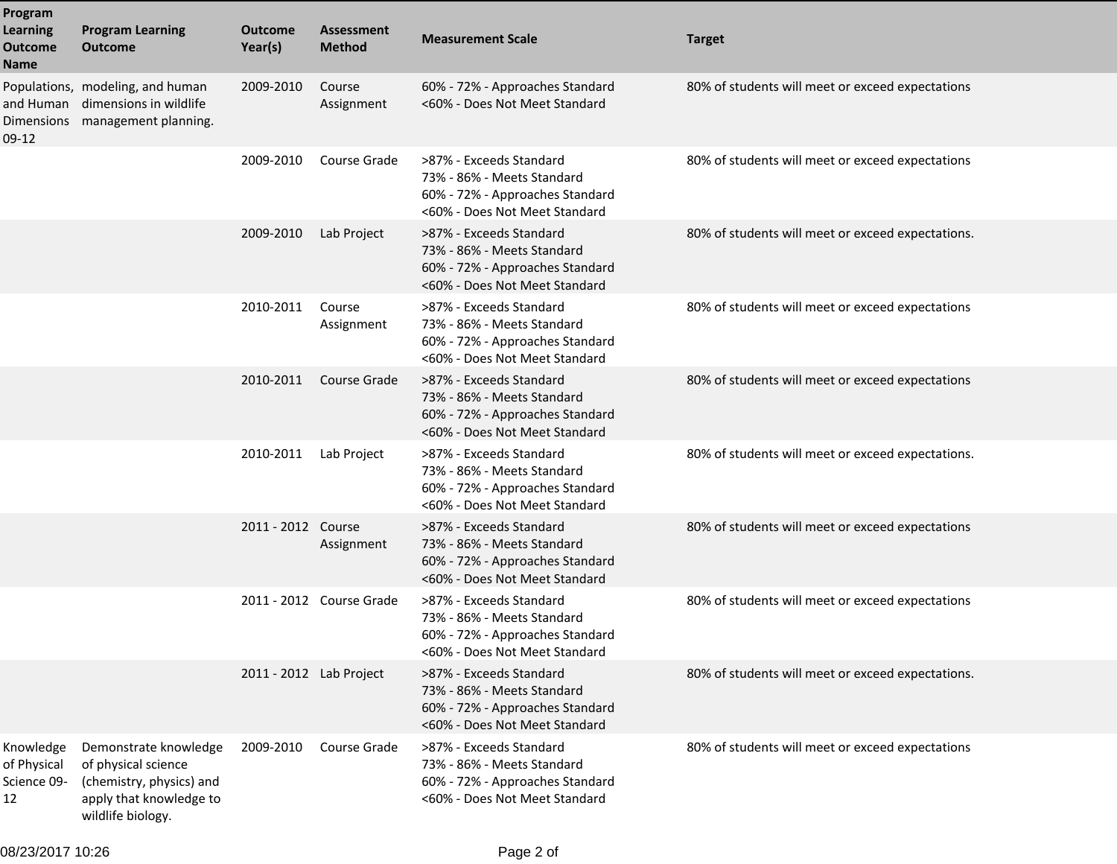| Program<br><b>Learning</b><br><b>Outcome</b><br>Name | <b>Program Learning</b><br><b>Outcome</b>                                                                                | <b>Outcome</b><br>Year(s) | <b>Assessment</b><br><b>Method</b> | <b>Measurement Scale</b>                                                                                                  | <b>Target</b>                                     |
|------------------------------------------------------|--------------------------------------------------------------------------------------------------------------------------|---------------------------|------------------------------------|---------------------------------------------------------------------------------------------------------------------------|---------------------------------------------------|
| and Human<br><b>Dimensions</b><br>$09-12$            | Populations, modeling, and human<br>dimensions in wildlife<br>management planning.                                       | 2009-2010                 | Course<br>Assignment               | 60% - 72% - Approaches Standard<br><60% - Does Not Meet Standard                                                          | 80% of students will meet or exceed expectations  |
|                                                      |                                                                                                                          | 2009-2010                 | Course Grade                       | >87% - Exceeds Standard<br>73% - 86% - Meets Standard<br>60% - 72% - Approaches Standard<br><60% - Does Not Meet Standard | 80% of students will meet or exceed expectations  |
|                                                      |                                                                                                                          | 2009-2010                 | Lab Project                        | >87% - Exceeds Standard<br>73% - 86% - Meets Standard<br>60% - 72% - Approaches Standard<br><60% - Does Not Meet Standard | 80% of students will meet or exceed expectations. |
|                                                      |                                                                                                                          | 2010-2011                 | Course<br>Assignment               | >87% - Exceeds Standard<br>73% - 86% - Meets Standard<br>60% - 72% - Approaches Standard<br><60% - Does Not Meet Standard | 80% of students will meet or exceed expectations  |
|                                                      |                                                                                                                          | 2010-2011                 | Course Grade                       | >87% - Exceeds Standard<br>73% - 86% - Meets Standard<br>60% - 72% - Approaches Standard<br><60% - Does Not Meet Standard | 80% of students will meet or exceed expectations  |
|                                                      |                                                                                                                          | 2010-2011                 | Lab Project                        | >87% - Exceeds Standard<br>73% - 86% - Meets Standard<br>60% - 72% - Approaches Standard<br><60% - Does Not Meet Standard | 80% of students will meet or exceed expectations. |
|                                                      |                                                                                                                          | 2011 - 2012 Course        | Assignment                         | >87% - Exceeds Standard<br>73% - 86% - Meets Standard<br>60% - 72% - Approaches Standard<br><60% - Does Not Meet Standard | 80% of students will meet or exceed expectations  |
|                                                      |                                                                                                                          |                           | 2011 - 2012 Course Grade           | >87% - Exceeds Standard<br>73% - 86% - Meets Standard<br>60% - 72% - Approaches Standard<br><60% - Does Not Meet Standard | 80% of students will meet or exceed expectations  |
|                                                      |                                                                                                                          | 2011 - 2012 Lab Project   |                                    | >87% - Exceeds Standard<br>73% - 86% - Meets Standard<br>60% - 72% - Approaches Standard<br><60% - Does Not Meet Standard | 80% of students will meet or exceed expectations. |
| Knowledge<br>of Physical<br>Science 09-<br>12        | Demonstrate knowledge<br>of physical science<br>(chemistry, physics) and<br>apply that knowledge to<br>wildlife biology. | 2009-2010                 | Course Grade                       | >87% - Exceeds Standard<br>73% - 86% - Meets Standard<br>60% - 72% - Approaches Standard<br><60% - Does Not Meet Standard | 80% of students will meet or exceed expectations  |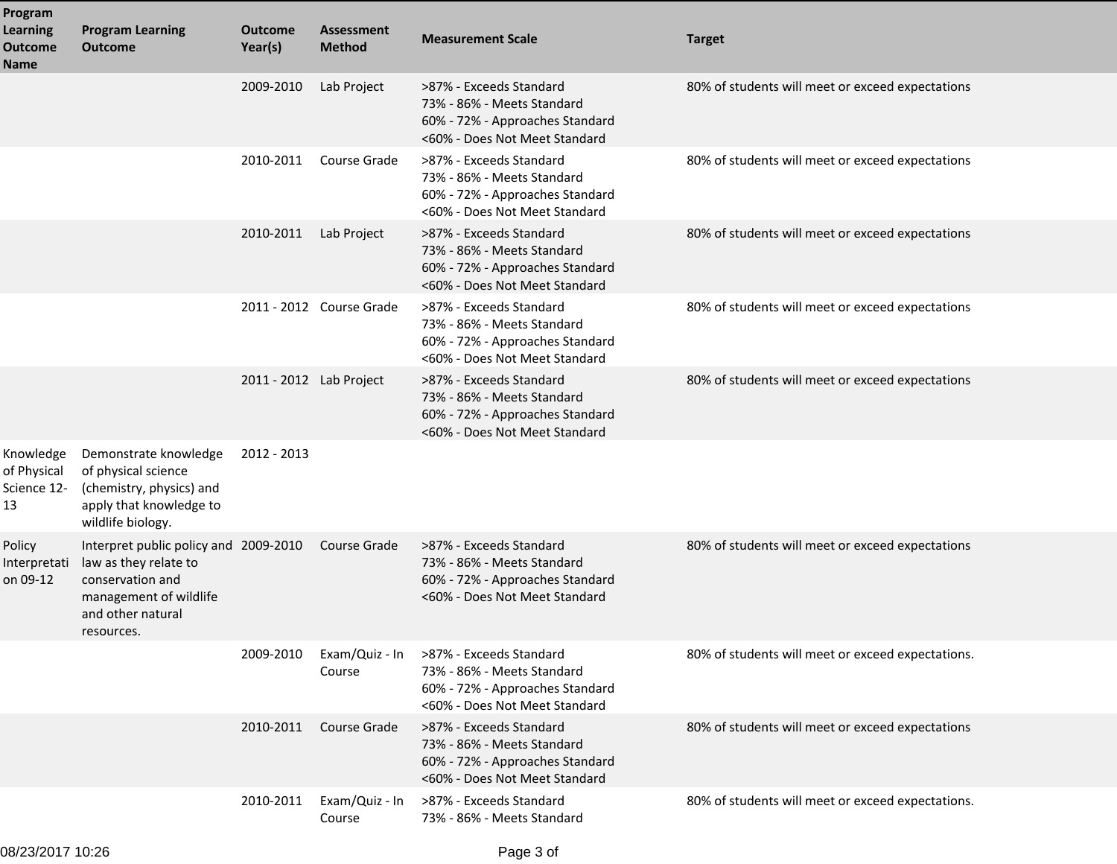| Program<br><b>Learning</b><br><b>Outcome</b><br>Name | <b>Program Learning</b><br><b>Outcome</b>                                                                                                       | <b>Outcome</b><br>Year(s) | <b>Assessment</b><br><b>Method</b> | <b>Measurement Scale</b>                                                                                                  | <b>Target</b>                                     |
|------------------------------------------------------|-------------------------------------------------------------------------------------------------------------------------------------------------|---------------------------|------------------------------------|---------------------------------------------------------------------------------------------------------------------------|---------------------------------------------------|
|                                                      |                                                                                                                                                 | 2009-2010                 | Lab Project                        | >87% - Exceeds Standard<br>73% - 86% - Meets Standard<br>60% - 72% - Approaches Standard<br><60% - Does Not Meet Standard | 80% of students will meet or exceed expectations  |
|                                                      |                                                                                                                                                 | 2010-2011                 | Course Grade                       | >87% - Exceeds Standard<br>73% - 86% - Meets Standard<br>60% - 72% - Approaches Standard<br><60% - Does Not Meet Standard | 80% of students will meet or exceed expectations  |
|                                                      |                                                                                                                                                 | 2010-2011                 | Lab Project                        | >87% - Exceeds Standard<br>73% - 86% - Meets Standard<br>60% - 72% - Approaches Standard<br><60% - Does Not Meet Standard | 80% of students will meet or exceed expectations  |
|                                                      |                                                                                                                                                 |                           | 2011 - 2012 Course Grade           | >87% - Exceeds Standard<br>73% - 86% - Meets Standard<br>60% - 72% - Approaches Standard<br><60% - Does Not Meet Standard | 80% of students will meet or exceed expectations  |
|                                                      |                                                                                                                                                 | 2011 - 2012 Lab Project   |                                    | >87% - Exceeds Standard<br>73% - 86% - Meets Standard<br>60% - 72% - Approaches Standard<br><60% - Does Not Meet Standard | 80% of students will meet or exceed expectations  |
| Knowledge<br>of Physical<br>Science 12-<br>13        | Demonstrate knowledge<br>of physical science<br>(chemistry, physics) and<br>apply that knowledge to<br>wildlife biology.                        | 2012 - 2013               |                                    |                                                                                                                           |                                                   |
| Policy<br>Interpretati<br>on 09-12                   | Interpret public policy and 2009-2010<br>law as they relate to<br>conservation and<br>management of wildlife<br>and other natural<br>resources. |                           | Course Grade                       | >87% - Exceeds Standard<br>73% - 86% - Meets Standard<br>60% - 72% - Approaches Standard<br><60% - Does Not Meet Standard | 80% of students will meet or exceed expectations  |
|                                                      |                                                                                                                                                 | 2009-2010                 | Exam/Quiz - In<br>Course           | >87% - Exceeds Standard<br>73% - 86% - Meets Standard<br>60% - 72% - Approaches Standard<br><60% - Does Not Meet Standard | 80% of students will meet or exceed expectations. |
|                                                      |                                                                                                                                                 | 2010-2011                 | Course Grade                       | >87% - Exceeds Standard<br>73% - 86% - Meets Standard<br>60% - 72% - Approaches Standard<br><60% - Does Not Meet Standard | 80% of students will meet or exceed expectations  |
|                                                      |                                                                                                                                                 | 2010-2011                 | Exam/Quiz - In<br>Course           | >87% - Exceeds Standard<br>73% - 86% - Meets Standard                                                                     | 80% of students will meet or exceed expectations. |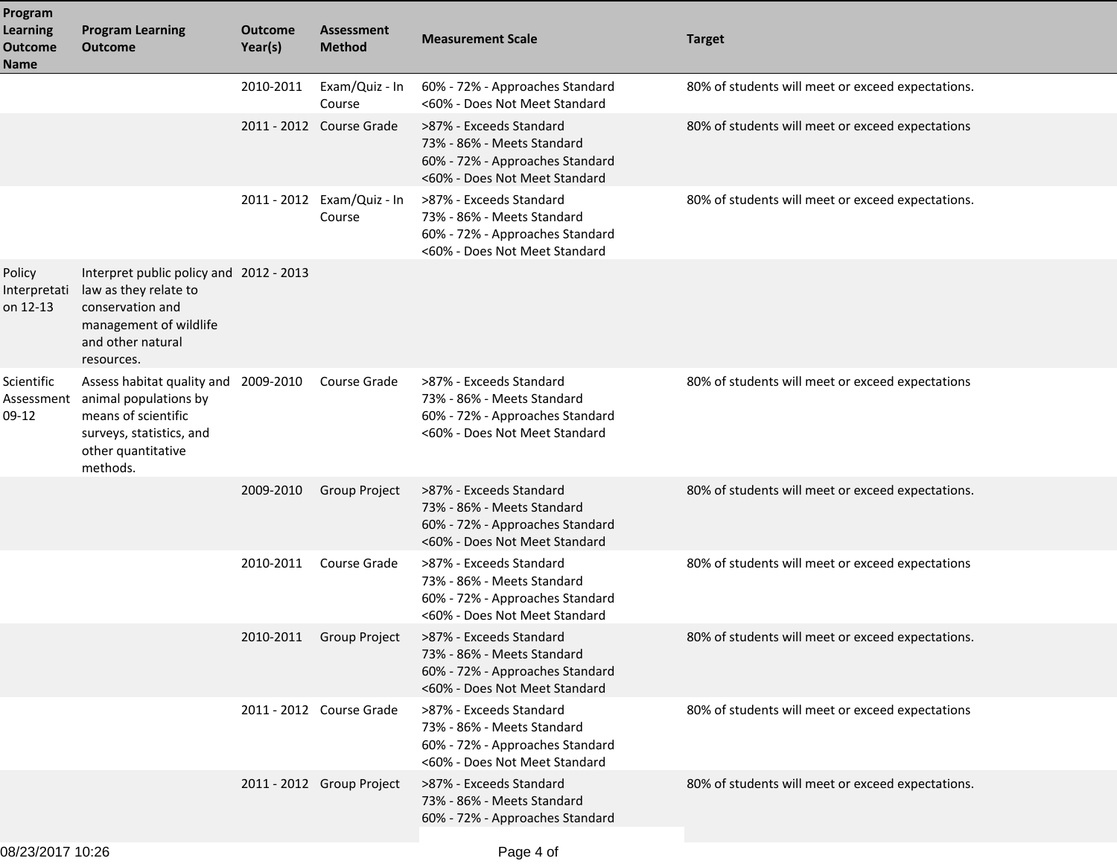| Program<br><b>Learning</b><br><b>Outcome</b><br><b>Name</b> | <b>Program Learning</b><br><b>Outcome</b>                                                                                                         | <b>Outcome</b><br>Year(s) | <b>Assessment</b><br><b>Method</b>   | <b>Measurement Scale</b>                                                                                                  | <b>Target</b>                                     |
|-------------------------------------------------------------|---------------------------------------------------------------------------------------------------------------------------------------------------|---------------------------|--------------------------------------|---------------------------------------------------------------------------------------------------------------------------|---------------------------------------------------|
|                                                             |                                                                                                                                                   | 2010-2011                 | Exam/Quiz - In<br>Course             | 60% - 72% - Approaches Standard<br><60% - Does Not Meet Standard                                                          | 80% of students will meet or exceed expectations. |
|                                                             |                                                                                                                                                   |                           | 2011 - 2012 Course Grade             | >87% - Exceeds Standard<br>73% - 86% - Meets Standard<br>60% - 72% - Approaches Standard<br><60% - Does Not Meet Standard | 80% of students will meet or exceed expectations  |
|                                                             |                                                                                                                                                   |                           | 2011 - 2012 Exam/Quiz - In<br>Course | >87% - Exceeds Standard<br>73% - 86% - Meets Standard<br>60% - 72% - Approaches Standard<br><60% - Does Not Meet Standard | 80% of students will meet or exceed expectations. |
| Policy<br>Interpretati<br>on 12-13                          | Interpret public policy and 2012 - 2013<br>law as they relate to<br>conservation and<br>management of wildlife<br>and other natural<br>resources. |                           |                                      |                                                                                                                           |                                                   |
| Scientific<br>Assessment<br>09-12                           | Assess habitat quality and<br>animal populations by<br>means of scientific<br>surveys, statistics, and<br>other quantitative<br>methods.          | 2009-2010                 | Course Grade                         | >87% - Exceeds Standard<br>73% - 86% - Meets Standard<br>60% - 72% - Approaches Standard<br><60% - Does Not Meet Standard | 80% of students will meet or exceed expectations  |
|                                                             |                                                                                                                                                   | 2009-2010                 | Group Project                        | >87% - Exceeds Standard<br>73% - 86% - Meets Standard<br>60% - 72% - Approaches Standard<br><60% - Does Not Meet Standard | 80% of students will meet or exceed expectations. |
|                                                             |                                                                                                                                                   | 2010-2011                 | Course Grade                         | >87% - Exceeds Standard<br>73% - 86% - Meets Standard<br>60% - 72% - Approaches Standard<br><60% - Does Not Meet Standard | 80% of students will meet or exceed expectations  |
|                                                             |                                                                                                                                                   | 2010-2011                 | <b>Group Project</b>                 | >87% - Exceeds Standard<br>73% - 86% - Meets Standard<br>60% - 72% - Approaches Standard<br><60% - Does Not Meet Standard | 80% of students will meet or exceed expectations. |
|                                                             |                                                                                                                                                   |                           | 2011 - 2012 Course Grade             | >87% - Exceeds Standard<br>73% - 86% - Meets Standard<br>60% - 72% - Approaches Standard<br><60% - Does Not Meet Standard | 80% of students will meet or exceed expectations  |
|                                                             |                                                                                                                                                   |                           | 2011 - 2012 Group Project            | >87% - Exceeds Standard<br>73% - 86% - Meets Standard<br>60% - 72% - Approaches Standard                                  | 80% of students will meet or exceed expectations. |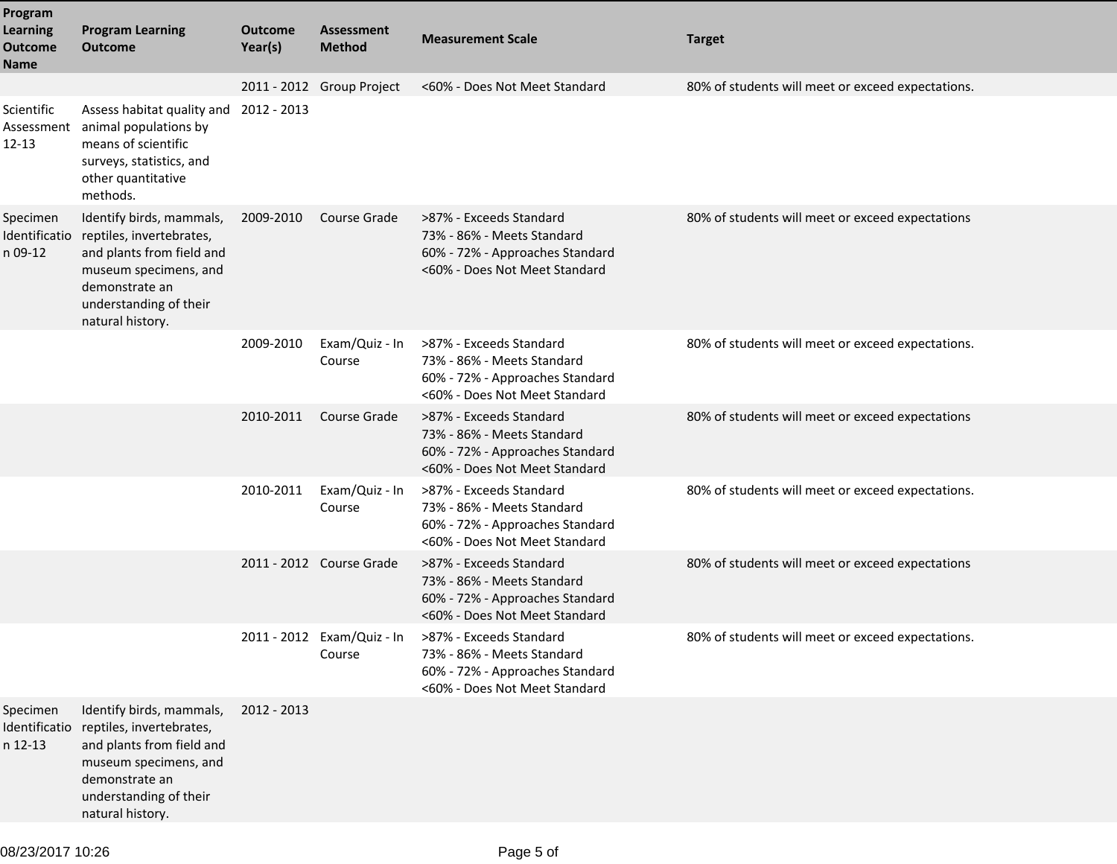| Program<br><b>Learning</b><br><b>Outcome</b><br><b>Name</b> | <b>Program Learning</b><br><b>Outcome</b>                                                                                                                                  | Outcome<br>Year(s) | <b>Assessment</b><br><b>Method</b>   | <b>Measurement Scale</b>                                                                                                  | <b>Target</b>                                     |
|-------------------------------------------------------------|----------------------------------------------------------------------------------------------------------------------------------------------------------------------------|--------------------|--------------------------------------|---------------------------------------------------------------------------------------------------------------------------|---------------------------------------------------|
|                                                             |                                                                                                                                                                            |                    | 2011 - 2012 Group Project            | <60% - Does Not Meet Standard                                                                                             | 80% of students will meet or exceed expectations. |
| Scientific<br>Assessment<br>$12 - 13$                       | Assess habitat quality and<br>animal populations by<br>means of scientific<br>surveys, statistics, and<br>other quantitative<br>methods.                                   | 2012 - 2013        |                                      |                                                                                                                           |                                                   |
| Specimen<br>Identificatio<br>n 09-12                        | Identify birds, mammals,<br>reptiles, invertebrates,<br>and plants from field and<br>museum specimens, and<br>demonstrate an<br>understanding of their<br>natural history. | 2009-2010          | Course Grade                         | >87% - Exceeds Standard<br>73% - 86% - Meets Standard<br>60% - 72% - Approaches Standard<br><60% - Does Not Meet Standard | 80% of students will meet or exceed expectations  |
|                                                             |                                                                                                                                                                            | 2009-2010          | Exam/Quiz - In<br>Course             | >87% - Exceeds Standard<br>73% - 86% - Meets Standard<br>60% - 72% - Approaches Standard<br><60% - Does Not Meet Standard | 80% of students will meet or exceed expectations. |
|                                                             |                                                                                                                                                                            | 2010-2011          | Course Grade                         | >87% - Exceeds Standard<br>73% - 86% - Meets Standard<br>60% - 72% - Approaches Standard<br><60% - Does Not Meet Standard | 80% of students will meet or exceed expectations  |
|                                                             |                                                                                                                                                                            | 2010-2011          | Exam/Quiz - In<br>Course             | >87% - Exceeds Standard<br>73% - 86% - Meets Standard<br>60% - 72% - Approaches Standard<br><60% - Does Not Meet Standard | 80% of students will meet or exceed expectations. |
|                                                             |                                                                                                                                                                            |                    | 2011 - 2012 Course Grade             | >87% - Exceeds Standard<br>73% - 86% - Meets Standard<br>60% - 72% - Approaches Standard<br><60% - Does Not Meet Standard | 80% of students will meet or exceed expectations  |
|                                                             |                                                                                                                                                                            |                    | 2011 - 2012 Exam/Quiz - In<br>Course | >87% - Exceeds Standard<br>73% - 86% - Meets Standard<br>60% - 72% - Approaches Standard<br><60% - Does Not Meet Standard | 80% of students will meet or exceed expectations. |
| Specimen<br>Identificatio<br>n 12-13                        | Identify birds, mammals,<br>reptiles, invertebrates,<br>and plants from field and<br>museum specimens, and<br>demonstrate an<br>understanding of their<br>natural history. | 2012 - 2013        |                                      |                                                                                                                           |                                                   |
|                                                             |                                                                                                                                                                            |                    |                                      |                                                                                                                           |                                                   |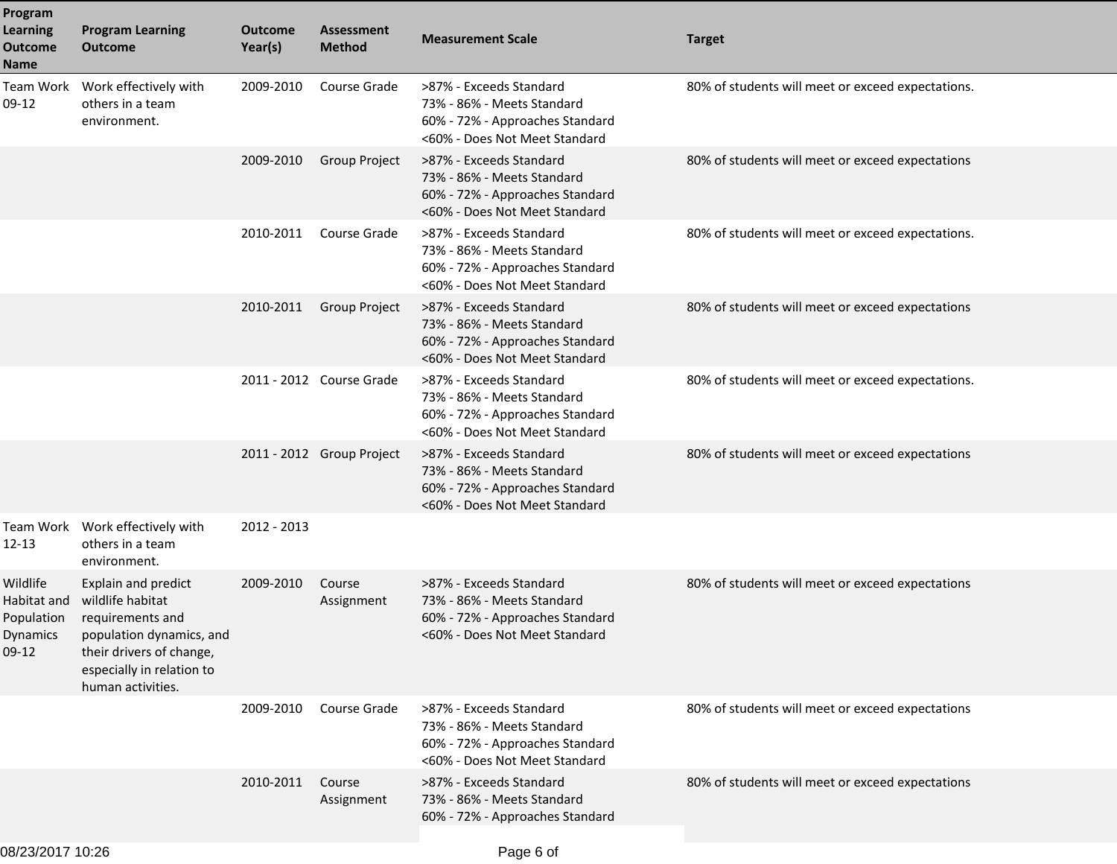| Program<br><b>Learning</b><br><b>Outcome</b><br>Name         | <b>Program Learning</b><br><b>Outcome</b>                                                                                                                             | Outcome<br>Year(s) | <b>Assessment</b><br><b>Method</b> | <b>Measurement Scale</b>                                                                                                  | <b>Target</b>                                     |
|--------------------------------------------------------------|-----------------------------------------------------------------------------------------------------------------------------------------------------------------------|--------------------|------------------------------------|---------------------------------------------------------------------------------------------------------------------------|---------------------------------------------------|
| Team Work<br>09-12                                           | Work effectively with<br>others in a team<br>environment.                                                                                                             | 2009-2010          | Course Grade                       | >87% - Exceeds Standard<br>73% - 86% - Meets Standard<br>60% - 72% - Approaches Standard<br><60% - Does Not Meet Standard | 80% of students will meet or exceed expectations. |
|                                                              |                                                                                                                                                                       | 2009-2010          | Group Project                      | >87% - Exceeds Standard<br>73% - 86% - Meets Standard<br>60% - 72% - Approaches Standard<br><60% - Does Not Meet Standard | 80% of students will meet or exceed expectations  |
|                                                              |                                                                                                                                                                       | 2010-2011          | Course Grade                       | >87% - Exceeds Standard<br>73% - 86% - Meets Standard<br>60% - 72% - Approaches Standard<br><60% - Does Not Meet Standard | 80% of students will meet or exceed expectations. |
|                                                              |                                                                                                                                                                       | 2010-2011          | <b>Group Project</b>               | >87% - Exceeds Standard<br>73% - 86% - Meets Standard<br>60% - 72% - Approaches Standard<br><60% - Does Not Meet Standard | 80% of students will meet or exceed expectations  |
|                                                              |                                                                                                                                                                       |                    | 2011 - 2012 Course Grade           | >87% - Exceeds Standard<br>73% - 86% - Meets Standard<br>60% - 72% - Approaches Standard<br><60% - Does Not Meet Standard | 80% of students will meet or exceed expectations. |
|                                                              |                                                                                                                                                                       |                    | 2011 - 2012 Group Project          | >87% - Exceeds Standard<br>73% - 86% - Meets Standard<br>60% - 72% - Approaches Standard<br><60% - Does Not Meet Standard | 80% of students will meet or exceed expectations  |
| Team Work<br>12-13                                           | Work effectively with<br>others in a team<br>environment.                                                                                                             | 2012 - 2013        |                                    |                                                                                                                           |                                                   |
| Wildlife<br>Habitat and<br>Population<br>Dynamics<br>$09-12$ | Explain and predict<br>wildlife habitat<br>requirements and<br>population dynamics, and<br>their drivers of change,<br>especially in relation to<br>human activities. | 2009-2010          | Course<br>Assignment               | >87% - Exceeds Standard<br>73% - 86% - Meets Standard<br>60% - 72% - Approaches Standard<br><60% - Does Not Meet Standard | 80% of students will meet or exceed expectations  |
|                                                              |                                                                                                                                                                       | 2009-2010          | Course Grade                       | >87% - Exceeds Standard<br>73% - 86% - Meets Standard<br>60% - 72% - Approaches Standard<br><60% - Does Not Meet Standard | 80% of students will meet or exceed expectations  |
|                                                              |                                                                                                                                                                       | 2010-2011          | Course<br>Assignment               | >87% - Exceeds Standard<br>73% - 86% - Meets Standard<br>60% - 72% - Approaches Standard                                  | 80% of students will meet or exceed expectations  |